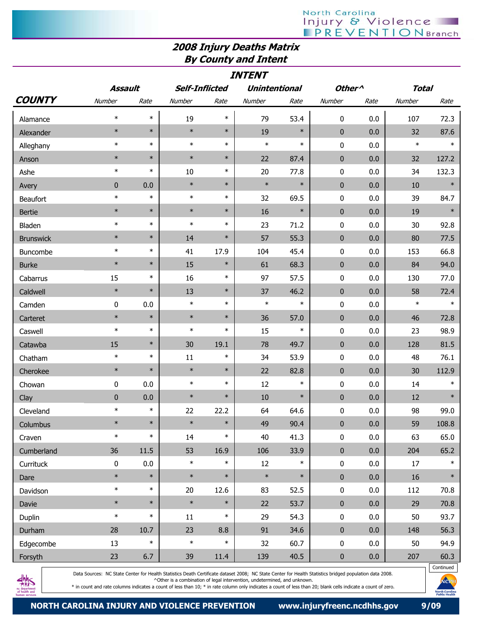## North Carolina<br>| Injury & Violence<br>| PREVENTIONBranch

## 2008 Injury Deaths Matrix By County and Intent

| <b>INTENT</b>    |           |        |                       |        |                      |        |                    |         |              |        |
|------------------|-----------|--------|-----------------------|--------|----------------------|--------|--------------------|---------|--------------|--------|
|                  | Assault   |        | <b>Self-Inflicted</b> |        | <b>Unintentional</b> |        | Other <sup>^</sup> |         | <b>Total</b> |        |
| <b>COUNTY</b>    | Number    | Rate   | Number                | Rate   | Number               | Rate   | Number             | Rate    | Number       | Rate   |
| Alamance         | $\ast$    | $\ast$ | 19                    | $\ast$ | 79                   | 53.4   | 0                  | 0.0     | 107          | 72.3   |
| Alexander        | $\ast$    | $\ast$ | $\ast$                | $\ast$ | 19                   | $\ast$ | $\mathbf{0}$       | 0.0     | 32           | 87.6   |
| Alleghany        | $\ast$    | $\ast$ | $\ast$                | $\ast$ | $\ast$               | $\ast$ | 0                  | 0.0     | $\ast$       | $\ast$ |
| Anson            | $\ast$    | $\ast$ | $\ast$                | $\ast$ | 22                   | 87.4   | $\mathbf 0$        | 0.0     | 32           | 127.2  |
| Ashe             | $\ast$    | $\ast$ | 10                    | $\ast$ | 20                   | 77.8   | 0                  | 0.0     | 34           | 132.3  |
| Avery            | 0         | 0.0    | $\ast$                | $\ast$ | $\ast$               | $\ast$ | $\pmb{0}$          | 0.0     | 10           | $\ast$ |
| Beaufort         | $\ast$    | $\ast$ | $\ast$                | $\ast$ | 32                   | 69.5   | 0                  | 0.0     | 39           | 84.7   |
| <b>Bertie</b>    | $\ast$    | $\ast$ | $\ast$                | $\ast$ | 16                   | $\ast$ | $\mathbf 0$        | 0.0     | 19           | $\ast$ |
| Bladen           | $\ast$    | $\ast$ | $\ast$                | $\ast$ | 23                   | 71.2   | 0                  | 0.0     | 30           | 92.8   |
| <b>Brunswick</b> | $\ast$    | $\ast$ | 14                    | $\ast$ | 57                   | 55.3   | $\mathbf{0}$       | 0.0     | 80           | 77.5   |
| Buncombe         | $\ast$    | $\ast$ | 41                    | 17.9   | 104                  | 45.4   | 0                  | 0.0     | 153          | 66.8   |
| <b>Burke</b>     | $\ast$    | $\ast$ | 15                    | $\ast$ | 61                   | 68.3   | $\mathbf{0}$       | 0.0     | 84           | 94.0   |
| Cabarrus         | 15        | $\ast$ | 16                    | $\ast$ | 97                   | 57.5   | 0                  | 0.0     | 130          | 77.0   |
| Caldwell         | $\ast$    | $\ast$ | 13                    | $\ast$ | 37                   | 46.2   | $\mathbf{0}$       | 0.0     | 58           | 72.4   |
| Camden           | 0         | 0.0    | $\ast$                | $\ast$ | $\ast$               | $\ast$ | 0                  | 0.0     | $\ast$       | $\ast$ |
| Carteret         | $\ast$    | $\ast$ | $\ast$                | $\ast$ | 36                   | 57.0   | $\pmb{0}$          | 0.0     | 46           | 72.8   |
| Caswell          | $\ast$    | $\ast$ | $\ast$                | $\ast$ | 15                   | $\ast$ | 0                  | 0.0     | 23           | 98.9   |
| Catawba          | 15        | $\ast$ | 30                    | 19.1   | 78                   | 49.7   | $\mathbf 0$        | 0.0     | 128          | 81.5   |
| Chatham          | $\ast$    | $\ast$ | 11                    | $\ast$ | 34                   | 53.9   | 0                  | 0.0     | 48           | 76.1   |
| Cherokee         | $\ast$    | $\ast$ | $\ast$                | $\ast$ | 22                   | 82.8   | $\bf{0}$           | 0.0     | 30           | 112.9  |
| Chowan           | 0         | 0.0    | $\ast$                | $\ast$ | 12                   | $\ast$ | 0                  | 0.0     | 14           | $\ast$ |
| Clay             | 0         | 0.0    | $\ast$                | $\ast$ | 10                   | $\ast$ | $\mathbf 0$        | 0.0     | 12           | $\ast$ |
| Cleveland        | $\ast$    | $\ast$ | 22                    | 22.2   | 64                   | 64.6   | 0                  | 0.0     | 98           | 99.0   |
| Columbus         | $\ast$    | $\ast$ | $\ast$                | $\ast$ | 49                   | 90.4   | $\pmb{0}$          | $0.0\,$ | 59           | 108.8  |
| Craven           | $\ast$    | $\ast$ | 14                    | $\ast$ | 40                   | 41.3   | 0                  | 0.0     | 63           | 65.0   |
| Cumberland       | 36        | 11.5   | 53                    | 16.9   | 106                  | 33.9   | $\pmb{0}$          | 0.0     | 204          | 65.2   |
| Currituck        | $\pmb{0}$ | 0.0    | $\ast$                | $\ast$ | $12\,$               | $\ast$ | $\pmb{0}$          | 0.0     | 17           | $\ast$ |
| Dare             | $\ast$    | $\ast$ | $\ast$                | $\ast$ | $\ast$               | $\ast$ | $\pmb{0}$          | 0.0     | 16           | $\ast$ |
| Davidson         | $\ast$    | $\ast$ | 20                    | 12.6   | 83                   | 52.5   | $\pmb{0}$          | 0.0     | 112          | 70.8   |
| Davie            | $\ast$    | $\ast$ | $\ast$                | $\ast$ | 22                   | 53.7   | $\pmb{0}$          | 0.0     | 29           | 70.8   |
| Duplin           | $\ast$    | $\ast$ | $11\,$                | $\ast$ | 29                   | 54.3   | $\pmb{0}$          | 0.0     | 50           | 93.7   |
| Durham           | 28        | 10.7   | 23                    | 8.8    | 91                   | 34.6   | $\pmb{0}$          | 0.0     | 148          | 56.3   |
| Edgecombe        | 13        | $\ast$ | $\ast$                | $\ast$ | 32                   | 60.7   | $\pmb{0}$          | 0.0     | 50           | 94.9   |
| Forsyth          | 23        | $6.7$  | 39                    | 11.4   | 139                  | 40.5   | $\pmb{0}$          | $0.0\,$ | 207          | 60.3   |



Data Sources: NC State Center for Health Statistics Death Certificate dataset 2008; NC State Center for Health Statistics bridged population data 2008. ^Other is a combination of legal intervention, undetermined, and unknown.

 $\ast$  in count and rate columns indicates a count of less than 10;  $\ast$  in rate column only indicates a count of less than 20; blank cells indicate a count of zero.

**North Carolin**<br>Public Health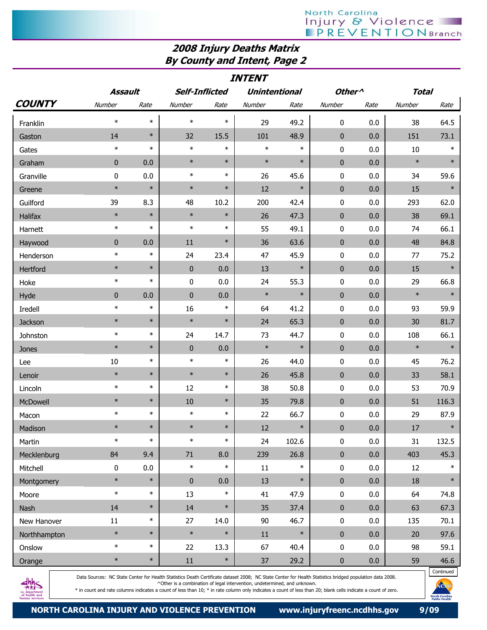## 2008 Injury Deaths Matrix By County and Intent, Page 2

| <b>INTENT</b>  |              |        |                       |        |                      |        |                    |         |              |        |
|----------------|--------------|--------|-----------------------|--------|----------------------|--------|--------------------|---------|--------------|--------|
|                | Assault      |        | <b>Self-Inflicted</b> |        | <b>Unintentional</b> |        | Other <sup>^</sup> |         | <b>Total</b> |        |
| <b>COUNTY</b>  | Number       | Rate   | Number                | Rate   | Number               | Rate   | Number             | Rate    | Number       | Rate   |
| Franklin       | $\ast$       | $\ast$ | $\ast$                | $\ast$ | 29                   | 49.2   | 0                  | 0.0     | 38           | 64.5   |
| Gaston         | 14           | $\ast$ | 32                    | 15.5   | 101                  | 48.9   | $\mathbf{0}$       | 0.0     | 151          | 73.1   |
| Gates          | $\ast$       | $\ast$ | $\ast$                | $\ast$ | $\ast$               | $\ast$ | 0                  | 0.0     | 10           | $\ast$ |
| Graham         | $\mathbf{0}$ | 0.0    | $\ast$                | $\ast$ | $\ast$               | $\ast$ | $\mathbf{0}$       | 0.0     | $\ast$       | $\ast$ |
| Granville      | 0            | 0.0    | $\ast$                | $\ast$ | 26                   | 45.6   | $\pmb{0}$          | 0.0     | 34           | 59.6   |
| Greene         | $\ast$       | $\ast$ | $\ast$                | $\ast$ | 12                   | $\ast$ | $\mathbf 0$        | 0.0     | 15           | $\ast$ |
| Guilford       | 39           | 8.3    | 48                    | 10.2   | 200                  | 42.4   | $\pmb{0}$          | 0.0     | 293          | 62.0   |
| Halifax        | $\ast$       | $\ast$ | $\ast$                | $\ast$ | 26                   | 47.3   | $\mathbf 0$        | 0.0     | 38           | 69.1   |
| Harnett        | $\ast$       | $\ast$ | $\ast$                | $\ast$ | 55                   | 49.1   | 0                  | 0.0     | 74           | 66.1   |
| Haywood        | $\mathbf 0$  | 0.0    | 11                    | $\ast$ | 36                   | 63.6   | $\mathbf 0$        | 0.0     | 48           | 84.8   |
| Henderson      | $\ast$       | $\ast$ | 24                    | 23.4   | 47                   | 45.9   | 0                  | 0.0     | 77           | 75.2   |
| Hertford       | $\ast$       | $\ast$ | $\bf{0}$              | 0.0    | 13                   | $\ast$ | $\bf{0}$           | 0.0     | 15           | $\ast$ |
| Hoke           | $\ast$       | $\ast$ | $\pmb{0}$             | 0.0    | 24                   | 55.3   | 0                  | 0.0     | 29           | 66.8   |
| Hyde           | 0            | 0.0    | $\bf{0}$              | 0.0    | $\ast$               | $\ast$ | $\mathbf 0$        | 0.0     | $\ast$       | $\ast$ |
| <b>Iredell</b> | $\ast$       | $\ast$ | 16                    | $\ast$ | 64                   | 41.2   | 0                  | 0.0     | 93           | 59.9   |
| Jackson        | $\ast$       | $\ast$ | $\ast$                | $\ast$ | 24                   | 65.3   | $\pmb{0}$          | 0.0     | 30           | 81.7   |
| Johnston       | $\ast$       | $\ast$ | 24                    | 14.7   | 73                   | 44.7   | 0                  | 0.0     | 108          | 66.1   |
| Jones          | $\ast$       | $\ast$ | $\mathbf 0$           | 0.0    | $\ast$               | $\ast$ | $\mathbf 0$        | 0.0     | $\ast$       | $\ast$ |
| Lee            | 10           | $\ast$ | $\ast$                | $\ast$ | 26                   | 44.0   | 0                  | 0.0     | 45           | 76.2   |
| Lenoir         | $\ast$       | $\ast$ | $\ast$                | $\ast$ | 26                   | 45.8   | $\mathbf{0}$       | 0.0     | 33           | 58.1   |
| Lincoln        | $\ast$       | $\ast$ | 12                    | $\ast$ | 38                   | 50.8   | 0                  | 0.0     | 53           | 70.9   |
| McDowell       | $\ast$       | $\ast$ | 10                    | $\ast$ | 35                   | 79.8   | $\mathbf{0}$       | 0.0     | 51           | 116.3  |
| Macon          | $\ast$       | $\ast$ | $\ast$                | $\ast$ | 22                   | 66.7   | 0                  | 0.0     | 29           | 87.9   |
| Madison        | $\ast$       | $\ast$ | $\ast$                | $\ast$ | $12\,$               | $\ast$ | $\pmb{0}$          | $0.0\,$ | $17\,$       | $\ast$ |
| Martin         | $\ast$       | $\ast$ | $\ast$                | $\ast$ | 24                   | 102.6  | $\pmb{0}$          | 0.0     | 31           | 132.5  |
| Mecklenburg    | 84           | 9.4    | 71                    | 8.0    | 239                  | 26.8   | $\pmb{0}$          | 0.0     | 403          | 45.3   |
| Mitchell       | 0            | 0.0    | $\ast$                | $\ast$ | $11\,$               | $\ast$ | $\pmb{0}$          | 0.0     | 12           | $\ast$ |
| Montgomery     | $\ast$       | $\ast$ | $\pmb{0}$             | 0.0    | 13                   | $\ast$ | $\pmb{0}$          | 0.0     | 18           | $\ast$ |
| Moore          | $\ast$       | $\ast$ | 13                    | $\ast$ | 41                   | 47.9   | $\pmb{0}$          | 0.0     | 64           | 74.8   |
| Nash           | 14           | $\ast$ | 14                    | $\ast$ | 35                   | 37.4   | $\pmb{0}$          | 0.0     | 63           | 67.3   |
| New Hanover    | $11\,$       | $\ast$ | 27                    | 14.0   | $90\,$               | 46.7   | $\pmb{0}$          | 0.0     | 135          | 70.1   |
| Northhampton   | $\ast$       | $\ast$ | $\ast$                | $\ast$ | $11\,$               | $\ast$ | $\pmb{0}$          | 0.0     | 20           | 97.6   |
| Onslow         | $\ast$       | $\ast$ | 22                    | 13.3   | 67                   | 40.4   | $\pmb{0}$          | 0.0     | 98           | 59.1   |
| Orange         | $\ast$       | $\ast$ | $11\,$                | $\ast$ | 37                   | 29.2   | $\pmb{0}$          | 0.0     | 59           | 46.6   |



Data Sources: NC State Center for Health Statistics Death Certificate dataset 2008; NC State Center for Health Statistics bridged population data 2008. ^Other is a combination of legal intervention, undetermined, and unknown.

\* in count and rate columns indicates a count of less than 10; \* in rate column only indicates a count of less than 20; blank cells indicate a count of zero.